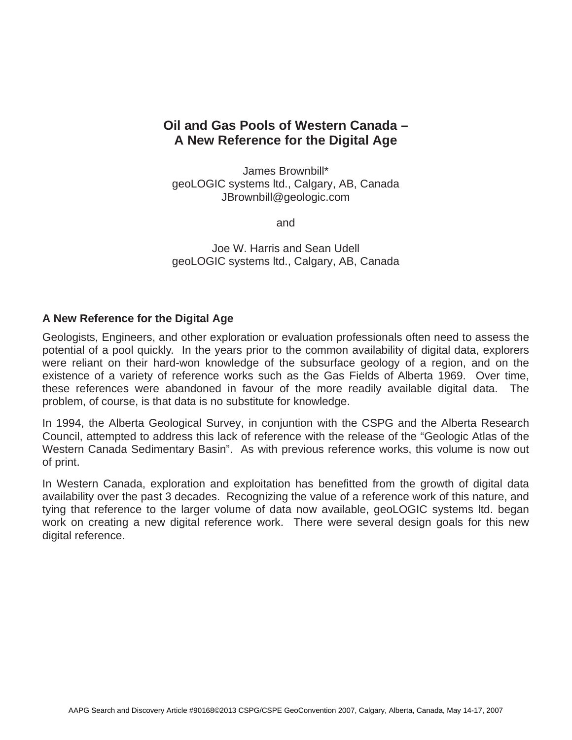# **Oil and Gas Pools of Western Canada – A New Reference for the Digital Age**

James Brownbill\* geoLOGIC systems ltd., Calgary, AB, Canada JBrownbill@geologic.com

and

Joe W. Harris and Sean Udell geoLOGIC systems ltd., Calgary, AB, Canada

### **A New Reference for the Digital Age**

Geologists, Engineers, and other exploration or evaluation professionals often need to assess the potential of a pool quickly. In the years prior to the common availability of digital data, explorers were reliant on their hard-won knowledge of the subsurface geology of a region, and on the existence of a variety of reference works such as the Gas Fields of Alberta 1969. Over time, these references were abandoned in favour of the more readily available digital data. The problem, of course, is that data is no substitute for knowledge.

In 1994, the Alberta Geological Survey, in conjuntion with the CSPG and the Alberta Research Council, attempted to address this lack of reference with the release of the "Geologic Atlas of the Western Canada Sedimentary Basin". As with previous reference works, this volume is now out of print.

In Western Canada, exploration and exploitation has benefitted from the growth of digital data availability over the past 3 decades. Recognizing the value of a reference work of this nature, and tying that reference to the larger volume of data now available, geoLOGIC systems ltd. began work on creating a new digital reference work. There were several design goals for this new digital reference.